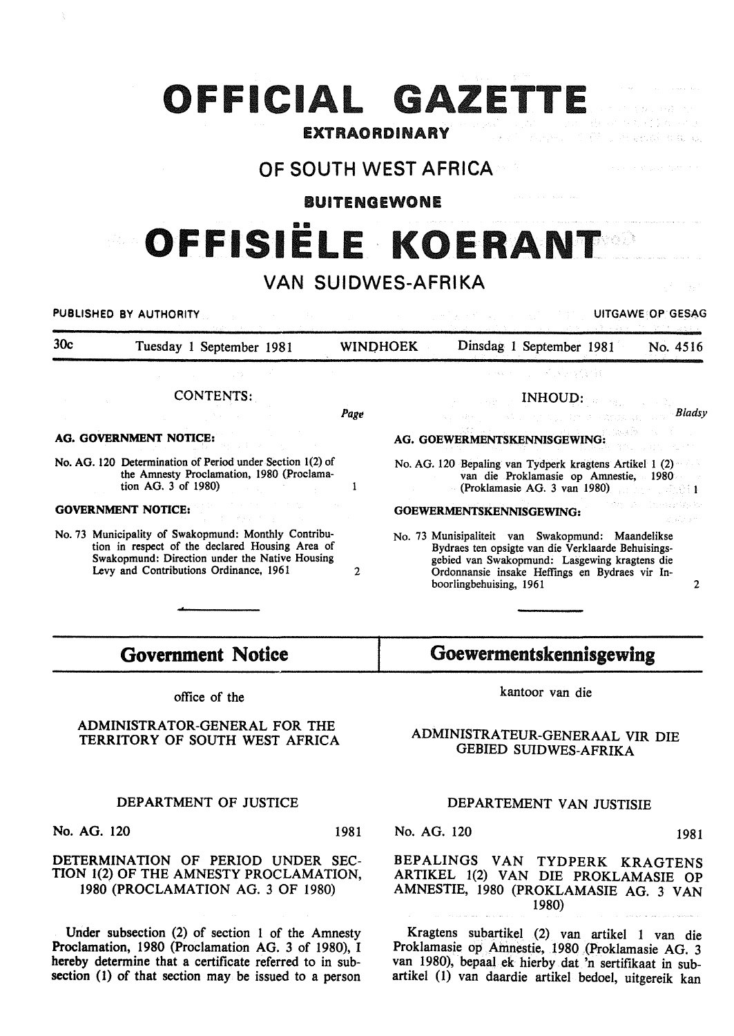# **OFFICIAL GAZETTE**

### EXTRAORDINARY

### OF SOUTH WEST AFRICA

BUITENGEWONE

# **OFFISIELE KOERANT**

## VAN SUIDWES-AFRIKA

PUBLISHED BY AUTHORITY **EXECUTE OF SECOND ACTIVITY** CONTROLLING AND THE UITGAWE OP GESAG 30c Tuesday 1 September 1981 WINO HOEK Dinsdag 1 September 1981 No. 4516 **SUSDAY (1991)** CONTENTS: INHOUD: *Bladsy*  Page AG. GOVERNMENT NOTICE: AG. GOEWERMENTSKENNISGEWING: No. AG. 120 Determination of Period under Section 1(2) of No. AG. 120 Bepaling van Tydperk kragtens Artikel 1 (2) the Amnesty Proclamation, 1980 (Proclamavan die Proklamasie op Amnestie, 1980 tion AG. 3 of 1980) (Proklamasie AG. 3 van 1980)  $\mathbf{1}$ - 22.011 **College** s Portugal GOVERNMENT NOTICE: GOEWERMENTSKENNISGEWING: No. 73 Municipality of Swakopmund: Monthly Contribu-No. 73 Munisipaliteit van Swakopmund: Maandelikse tion in respect of the declared Housing Area of Bydraes ten opsigte van die Verklaarde Behuisings-Swakopmund: Direction under the Native Housing gebied van Swakopmund: Lasgewing kragtens die Levy and Contributions Ordinance, 1961 2 Ordonnansie insake Heffings en Bydraes vir Inboorlingbehuising, 1961 2

## **Government** Notice

office of the

ADMINISTRATOR-GENERAL FOR THE TERRITORY OF SOUTH WEST AFRICA

#### DEPARTMENT OF JUSTICE

No. AG. 120 1981

#### DETERMINATION OF PERIOD UNDER SEC-TION 1(2) OF THE AMNESTY PROCLAMATION, 1980 (PROCLAMATION AG. 3 OF 1980)

Under subsection (2) of section 1 of the Amnesty Proclamation, 1980 (Proclamation AG. 3 of 1980), I hereby determine that a certificate referred to in subsection (1) of that section may be issued to a person

## Goewermentskennisgewlng

kantoor van die

#### ADMINISTRATEUR-GENERAAL VIR DIE GEBIED SUIDWES-AFRIKA

#### DEPARTEMENT VAN JUSTISIE

No. AG. 120 1981

#### BEPALINGS VAN TYDPERK KRAGTENS ARTIKEL 1(2) VAN DIE PROKLAMASIE OP AMNESTIE, 1980 (PROKLAMASIE AG. 3 VAN 1980)

Kragtens subartikel (2) van artikel 1 van die Proklamasie op Ainnestie, 1980 (Proklamasie AG. 3 van 1980), bepaal ek hierby dat 'n sertifikaat in subartikel ( 1) van daardie artikel bedoel, uitgereik kan